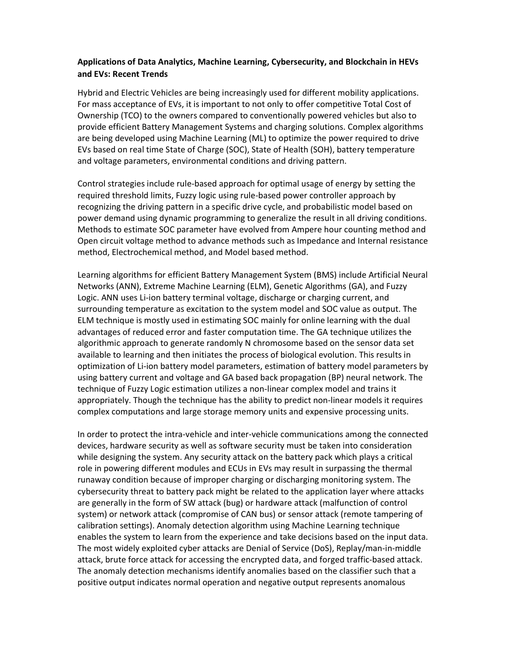## Applications of Data Analytics, Machine Learning, Cybersecurity, and Blockchain in HEVs and EVs: Recent Trends

Hybrid and Electric Vehicles are being increasingly used for different mobility applications. For mass acceptance of EVs, it is important to not only to offer competitive Total Cost of Ownership (TCO) to the owners compared to conventionally powered vehicles but also to provide efficient Battery Management Systems and charging solutions. Complex algorithms are being developed using Machine Learning (ML) to optimize the power required to drive EVs based on real time State of Charge (SOC), State of Health (SOH), battery temperature and voltage parameters, environmental conditions and driving pattern.

Control strategies include rule-based approach for optimal usage of energy by setting the required threshold limits, Fuzzy logic using rule-based power controller approach by recognizing the driving pattern in a specific drive cycle, and probabilistic model based on power demand using dynamic programming to generalize the result in all driving conditions. Methods to estimate SOC parameter have evolved from Ampere hour counting method and Open circuit voltage method to advance methods such as Impedance and Internal resistance method, Electrochemical method, and Model based method.

Learning algorithms for efficient Battery Management System (BMS) include Artificial Neural Networks (ANN), Extreme Machine Learning (ELM), Genetic Algorithms (GA), and Fuzzy Logic. ANN uses Li-ion battery terminal voltage, discharge or charging current, and surrounding temperature as excitation to the system model and SOC value as output. The ELM technique is mostly used in estimating SOC mainly for online learning with the dual advantages of reduced error and faster computation time. The GA technique utilizes the algorithmic approach to generate randomly N chromosome based on the sensor data set available to learning and then initiates the process of biological evolution. This results in optimization of Li-ion battery model parameters, estimation of battery model parameters by using battery current and voltage and GA based back propagation (BP) neural network. The technique of Fuzzy Logic estimation utilizes a non-linear complex model and trains it appropriately. Though the technique has the ability to predict non-linear models it requires complex computations and large storage memory units and expensive processing units.

In order to protect the intra-vehicle and inter-vehicle communications among the connected devices, hardware security as well as software security must be taken into consideration while designing the system. Any security attack on the battery pack which plays a critical role in powering different modules and ECUs in EVs may result in surpassing the thermal runaway condition because of improper charging or discharging monitoring system. The cybersecurity threat to battery pack might be related to the application layer where attacks are generally in the form of SW attack (bug) or hardware attack (malfunction of control system) or network attack (compromise of CAN bus) or sensor attack (remote tampering of calibration settings). Anomaly detection algorithm using Machine Learning technique enables the system to learn from the experience and take decisions based on the input data. The most widely exploited cyber attacks are Denial of Service (DoS), Replay/man-in-middle attack, brute force attack for accessing the encrypted data, and forged traffic-based attack. The anomaly detection mechanisms identify anomalies based on the classifier such that a positive output indicates normal operation and negative output represents anomalous